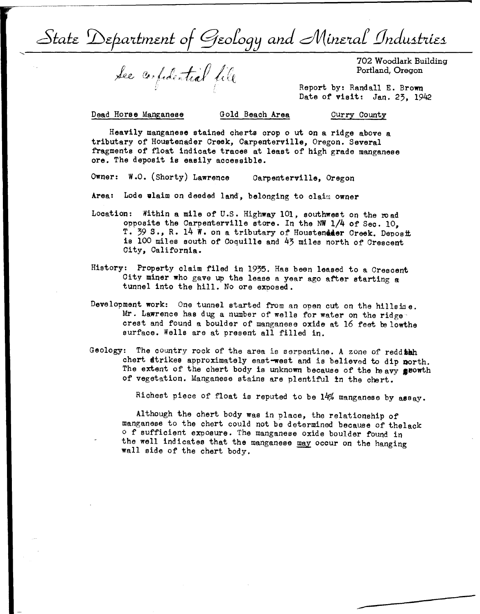$\mathcal{L}_{\mathcal{S}}$  is tatte Department of Geology and Mineral Industries

See confidential file

702 Woodlark Building Portland, Oregon

Report by: Randall E. **Brown**  Date of **visit:** Jan. 23, 1942

Dead Horse Manganese Gold Beach **Area** 

Curry County

Heavily manganese stained cherts crop out on a ridge above a tributary of Houetenader Creek, Carpenterville, Oregon. Several fragments of float indicate traces at least of high grade manganese ore. The deposit ie easily accessible.

Owner: W.O. (Shorty) Lawrence Carpenterville, Oregon

Area: Lode wlaim on deeded land, belonging to claim owner

- Location: Within a mile of U.S. Highway 101, southwest on the road opposite the Carpenterville store. In the NW 1/4 of Sec. 10, T. 39 S., R. 14 W. on a tributary of Houstendder Creek. Deposit is 100 miles south of Coquille and 43 miles north of Crescent City, California.
- History: Property claim filed in 1935. Has been leased to a Crescent City miner who gave up the lease a year ago after starting **a**  tunnel into the hill. No ore exposed.
- Development **work:** Ona tunnel started from an open cut on the hills io **a.**  Mr. Lawrence has dug a number of wells for water on the ridge crest and found a boulder of manganese oxide at 16 feet be lowthe surface. Wells are at present all filled in.
- Geology: The country rock of the area is serpentine. **A** zone of reddish chert strikes approximately east-west and is believed to dip north. The extent of the chert body is unknown because of the heavy geowth of vegetation. Manganese stains are plentiful in the chert.

Richest piece of float is reputed to be 14% manganese by **assay.** 

Although the chert body was in place, the relationship of manganese to the chert could not be determined because of thelack  $\circ$  f sufficient expoeure. The manganese oxide boulder found in the well indicates that the manganese may occur on the hanging wall side of the chert body.